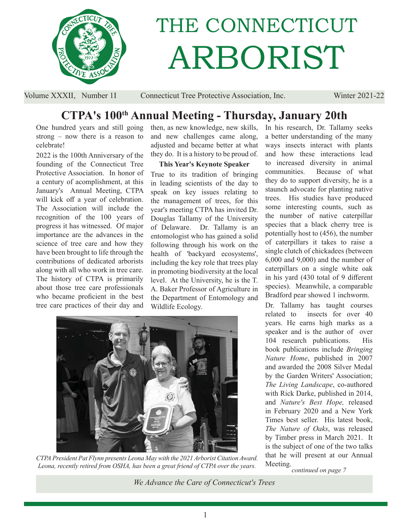

# THE CONNECTICUT ARBORIST

Volume XXXII, Number 1I Connecticut Tree Protective Association, Inc. Winter 2021-22

## **CTPA's 100th Annual Meeting - Thursday, January 20th**

One hundred years and still going strong – now there is a reason to celebrate!

2022 is the 100th Anniversary of the founding of the Connecticut Tree Protective Association. In honor of a century of acomplishment, at this January's Annual Meeting, CTPA will kick off a year of celebration. The Association will include the recognition of the 100 years of progress it has witnessed. Of major importance are the advances in the science of tree care and how they have been brought to life through the contributions of dedicated arborists along with all who work in tree care. The history of CTPA is primarily about those tree care professionals who became proficient in the best tree care practices of their day and

then, as new knowledge, new skills, and new challenges came along, adjusted and became better at what they do. It is a history to be proud of.

#### **This Year's Keynote Speaker**

True to its tradition of bringing in leading scientists of the day to speak on key issues relating to the management of trees, for this year's meeting CTPA has invited Dr. Douglas Tallamy of the University of Delaware. Dr. Tallamy is an entomologist who has gained a solid following through his work on the health of 'backyard ecosystems', including the key role that trees play in promoting biodiversity at the local level. At the University, he is the T. A. Baker Professor of Agriculture in the Department of Entomology and Wildlife Ecology.



*CTPA President Pat Flynn presents Leona May with the 2021 Arborist Citation Award. Leona, recently retired from OSHA, has been a great friend of CTPA over the years.*

In his research, Dr. Tallamy seeks a better understanding of the many ways insects interact with plants and how these interactions lead to increased diversity in animal communities. Because of what they do to support diversity, he is a staunch advocate for planting native trees. His studies have produced some interesting counts, such as the number of native caterpillar species that a black cherry tree is potentially host to (456), the number of caterpillars it takes to raise a single clutch of chickadees (between 6,000 and 9,000) and the number of caterpillars on a single white oak in his yard (430 total of 9 different species). Meanwhile, a comparable Bradford pear showed 1 inchworm.

Dr. Tallamy has taught courses related to insects for over 40 years. He earns high marks as a speaker and is the author of over 104 research publications. His book publications include *Bringing Nature Home*, published in 2007 and awarded the 2008 Silver Medal by the Garden Writers' Association; *The Living Landscape*, co-authored with Rick Darke, published in 2014, and *Nature's Best Hope,* released in February 2020 and a New York Times best seller. His latest book, *The Nature of Oaks*, was released by Timber press in March 2021. It is the subject of one of the two talks that he will present at our Annual Meeting.*continued on page 7*

*We Advance the Care of Connecticut's Trees*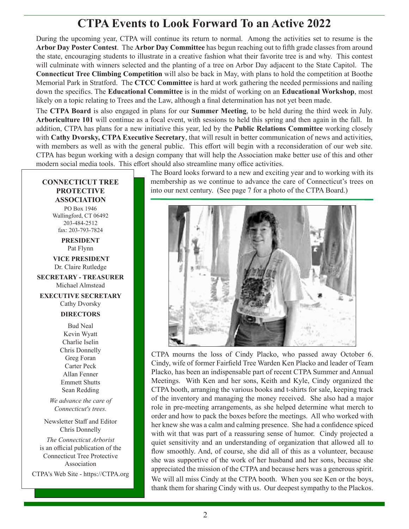## **CTPA Events to Look Forward To an Active 2022**

During the upcoming year, CTPA will continue its return to normal. Among the activities set to resume is the Arbor Day Poster Contest. The Arbor Day Committee has begun reaching out to fifth grade classes from around the state, encouraging students to illustrate in a creative fashion what their favorite tree is and why. This contest will culminate with winners selected and the planting of a tree on Arbor Day adjacent to the State Capitol. The **Connecticut Tree Climbing Competition** will also be back in May, with plans to hold the competition at Boothe Memorial Park in Stratford. The **CTCC Committee** is hard at work gathering the needed permissions and nailing down the specifics. The **Educational Committee** is in the midst of working on an **Educational Workshop**, most likely on a topic relating to Trees and the Law, although a final determination has not yet been made.

The **CTPA Board** is also engaged in plans for our **Summer Meeting**, to be held during the third week in July. **Arboriculture 101** will continue as a focal event, with sessions to held this spring and then again in the fall. In addition, CTPA has plans for a new initiative this year, led by the **Public Relations Committee** working closely with **Cathy Dvorsky, CTPA Executive Secretary**, that will result in better communication of news and activities, with members as well as with the general public. This effort will begin with a reconsideration of our web site. CTPA has begun working with a design company that will help the Association make better use of this and other modern social media tools. This effort should also streamline many office activities.

#### **CONNECTICUT TREE PROTECTIVE ASSOCIATION**

PO Box 1946 Wallingford, CT 06492 203-484-2512 fax: 203-793-7824

> **PRESIDENT** Pat Flynn

 **VICE PRESIDENT** Dr. Claire Rutledge

**SECRETARY - TREASURER** Michael Almstead

**EXECUTIVE SECRETARY** Cathy Dvorsky

#### **DIRECTORS**

Bud Neal Kevin Wyatt Charlie Iselin Chris Donnelly Greg Foran Carter Peck Allan Fenner Emmett Shutts Sean Redding

*We advance the care of Connecticut's trees.*

Newsletter Staff and Editor Chris Donnelly

*The Connecticut Arborist* is an official publication of the Connecticut Tree Protective Association

CTPA's Web Site - https://CTPA.org

The Board looks forward to a new and exciting year and to working with its membership as we continue to advance the care of Connecticut's trees on into our next century. (See page 7 for a photo of the CTPA Board.)



CTPA mourns the loss of Cindy Placko, who passed away October 6. Cindy, wife of former Fairfield Tree Warden Ken Placko and leader of Team Placko, has been an indispensable part of recent CTPA Summer and Annual Meetings. With Ken and her sons, Keith and Kyle, Cindy organized the CTPA booth, arranging the various books and t-shirts for sale, keeping track of the inventory and managing the money received. She also had a major role in pre-meeting arrangements, as she helped determine what merch to order and how to pack the boxes before the meetings. All who worked with her knew she was a calm and calming presence. She had a confidence spiced with wit that was part of a reassuring sense of humor. Cindy projected a quiet sensitivity and an understanding of organization that allowed all to flow smoothly. And, of course, she did all of this as a volunteer, because she was supportive of the work of her husband and her sons, because she appreciated the mission of the CTPA and because hers was a generous spirit. We will all miss Cindy at the CTPA booth. When you see Ken or the boys, thank them for sharing Cindy with us. Our deepest sympathy to the Plackos.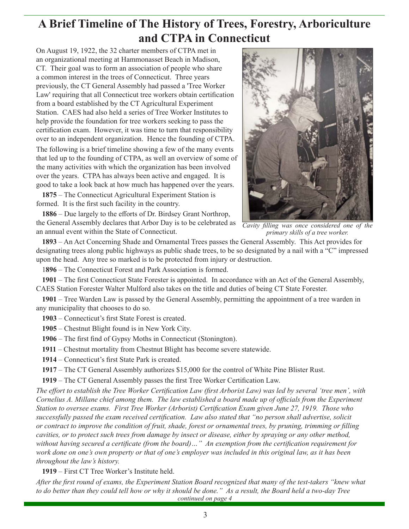## **A Brief Timeline of The History of Trees, Forestry, Arboriculture and CTPA in Connecticut**

On August 19, 1922, the 32 charter members of CTPA met in an organizational meeting at Hammonasset Beach in Madison, CT. Their goal was to form an association of people who share a common interest in the trees of Connecticut. Three years previously, the CT General Assembly had passed a 'Tree Worker Law' requiring that all Connecticut tree workers obtain certification from a board established by the CT Agricultural Experiment Station. CAES had also held a series of Tree Worker Institutes to help provide the foundation for tree workers seeking to pass the certification exam. However, it was time to turn that responsibility over to an independent organization. Hence the founding of CTPA.

The following is a brief timeline showing a few of the many events that led up to the founding of CTPA, as well an overview of some of the many activities with which the organization has been involved over the years. CTPA has always been active and engaged. It is good to take a look back at how much has happened over the years.

**1875** – The Connecticut Agricultural Experiment Station is formed. It is the first such facility in the country.

1886 – Due largely to the efforts of Dr. Birdsey Grant Northrop, the General Assembly declares that Arbor Day is to be celebrated as an annual event within the State of Connecticut.



*Cavity filling was once considered one of the primary skills of a tree worker.*

**1893** – An Act Concerning Shade and Ornamental Trees passes the General Assembly. This Act provides for designating trees along public highways as public shade trees, to be so designated by a nail with a "C" impressed upon the head. Any tree so marked is to be protected from injury or destruction.

1**896** – The Connecticut Forest and Park Association is formed.

**1901** – The first Connecticut State Forester is appointed. In accordance with an Act of the General Assembly, CAES Station Forester Walter Mulford also takes on the title and duties of being CT State Forester.

**1901** – Tree Warden Law is passed by the General Assembly, permitting the appointment of a tree warden in any municipality that chooses to do so.

1903 – Connecticut's first State Forest is created.

**1905** – Chestnut Blight found is in New York City.

1906 – The first find of Gypsy Moths in Connecticut (Stonington).

**1911** – Chestnut mortality from Chestnut Blight has become severe statewide.

1914 – Connecticut's first State Park is created.

**1917** – The CT General Assembly authorizes \$15,000 for the control of White Pine Blister Rust.

1919 – The CT General Assembly passes the first Tree Worker Certification Law.

*The effort to establish the Tree Worker Certification Law (first Arborist Law) was led by several 'tree men', with Cornelius A. Millane chief among them. The law established a board made up of offi cials from the Experiment Station to oversee exams. First Tree Worker (Arborist) Certification Exam given June 27, 1919. Those who successfully passed the exam received certification. Law also stated that "no person shall advertise, solicit or contract to improve the condition of fruit, shade, forest or ornamental trees, by pruning, trimming or filling cavities, or to protect such trees from damage by insect or disease, either by spraying or any other method,*  without having secured a certificate (from the board)..." An exemption from the certification requirement for *work done on one's own property or that of one's employer was included in this original law, as it has been throughout the law's history.*

**1919** – First CT Tree Worker's Institute held.

After the first round of exams, the Experiment Station Board recognized that many of the test-takers "knew what *to do better than they could tell how or why it should be done." As a result, the Board held a two-day Tree continued on page 4*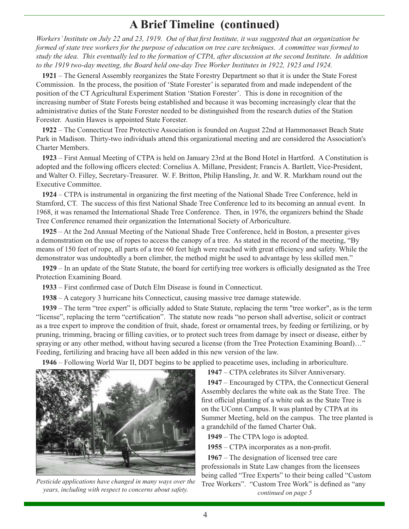## **A Brief Timeline (continued)**

*Workers' Institute on July 22 and 23, 1919. Out of that first Institute, it was suggested that an organization be formed of state tree workers for the purpose of education on tree care techniques. A committee was formed to study the idea. This eventually led to the formation of CTPA, after discussion at the second Institute. In addition to the 1919 two-day meeting, the Board held one-day Tree Worker Institutes in 1922, 1923 and 1924.*

**1921** – The General Assembly reorganizes the State Forestry Department so that it is under the State Forest Commission. In the process, the position of 'State Forester' is separated from and made independent of the position of the CT Agricultural Experiment Station 'Station Forester'. This is done in recognition of the increasing number of State Forests being established and because it was becoming increasingly clear that the administrative duties of the State Forester needed to be distinguished from the research duties of the Station Forester. Austin Hawes is appointed State Forester.

**1922** – The Connecticut Tree Protective Association is founded on August 22nd at Hammonasset Beach State Park in Madison. Thirty-two individuals attend this organizational meeting and are considered the Association's Charter Members.

**1923** – First Annual Meeting of CTPA is held on January 23rd at the Bond Hotel in Hartford. A Constitution is adopted and the following officers elected: Cornelius A. Millane, President; Francis A. Bartlett, Vice-President, and Walter O. Filley, Secretary-Treasurer. W. F. Britton, Philip Hansling, Jr. and W. R. Markham round out the Executive Committee.

**1924** – CTPA is instrumental in organizing the first meeting of the National Shade Tree Conference, held in Stamford, CT. The success of this first National Shade Tree Conference led to its becoming an annual event. In 1968, it was renamed the International Shade Tree Conference. Then, in 1976, the organizers behind the Shade Tree Conference renamed their organization the International Society of Arboriculture.

**1925** – At the 2nd Annual Meeting of the National Shade Tree Conference, held in Boston, a presenter gives a demonstration on the use of ropes to access the canopy of a tree. As stated in the record of the meeting, "By means of 150 feet of rope, all parts of a tree 60 feet high were reached with great efficiency and safety. While the demonstrator was undoubtedly a born climber, the method might be used to advantage by less skilled men."

**1929** – In an update of the State Statute, the board for certifying tree workers is officially designated as the Tree Protection Examining Board.

**1933** – First confirmed case of Dutch Elm Disease is found in Connecticut.

**1938** – A category 3 hurricane hits Connecticut, causing massive tree damage statewide.

**1939** – The term "tree expert" is officially added to State Statute, replacing the term "tree worker", as is the term "license", replacing the term "certification". The statute now reads "no person shall advertise, solicit or contract as a tree expert to improve the condition of fruit, shade, forest or ornamental trees, by feeding or fertilizing, or by pruning, trimming, bracing or filling cavities, or to protect such trees from damage by insect or disease, either by spraying or any other method, without having secured a license (from the Tree Protection Examining Board)…" Feeding, fertilizing and bracing have all been added in this new version of the law.

**1946** – Following World War II, DDT begins to be applied to peacetime uses, including in arboriculture.



*Pesticide applications have changed in many ways over the years, including with respect to concerns about safety.*

**1947** – CTPA celebrates its Silver Anniversary. **1947** – Encouraged by CTPA, the Connecticut General Assembly declares the white oak as the State Tree. The first official planting of a white oak as the State Tree is on the UConn Campus. It was planted by CTPA at its Summer Meeting, held on the campus. The tree planted is a grandchild of the famed Charter Oak.

**1949** – The CTPA logo is adopted.

**1955** – CTPA incorporates as a non-profit.

**1967** – The designation of licensed tree care professionals in State Law changes from the licensees being called "Tree Experts" to their being called "Custom Tree Workers". "Custom Tree Work" is defined as "any *continued on page 5*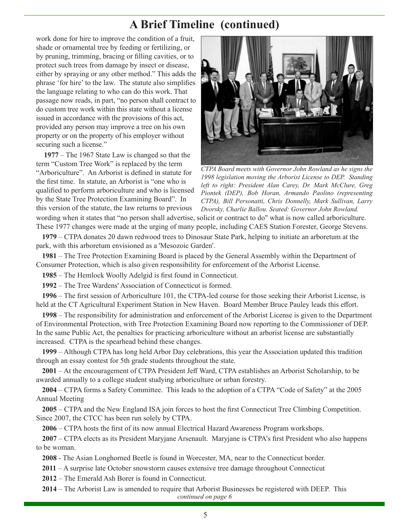## **A Brief Timeline (continued)**

work done for hire to improve the condition of a fruit, shade or ornamental tree by feeding or fertilizing, or by pruning, trimming, bracing or filling cavities, or to protect such trees from damage by insect or disease, either by spraying or any other method." This adds the phrase 'for hire' to the law. The statute also simplifies the language relating to who can do this work. That passage now reads, in part, "no person shall contract to do custom tree work within this state without a license issued in accordance with the provisions of this act, provided any person may improve a tree on his own property or on the property of his employer without securing such a license."

**1977** – The 1967 State Law is changed so that the term "Custom Tree Work" is replaced by the term "Arboriculture". An Arborist is defined in statute for the first time. In statute, an Arborist is "one who is qualified to perform arboriculture and who is licensed by the State Tree Protection Examining Board". In this version of the statute, the law returns to previous



*CTPA Board meets with Governor John Rowland as he signs the 1998 legislation moving the Arborist License to DEP. Standing left to right: President Alan Carey, Dr. Mark McClure, Greg Piontek (DEP), Bob Horan, Armando Paolino (representing CTPA), Bill Personatti, Chris Donnelly, Mark Sullivan, Larry Dvorsky, Charlie Ballou. Seated: Governor John Rowland.*

wording when it states that "no person shall advertise, solicit or contract to do" what is now called arboriculture. These 1977 changes were made at the urging of many people, including CAES Station Forester, George Stevens.

**1979** – CTPA donates 20 dawn redwood trees to Dinosaur State Park, helping to initiate an arboretum at the park, with this arboretum envisioned as a 'Mesozoic Garden'.

**1981** – The Tree Protection Examining Board is placed by the General Assembly within the Department of Consumer Protection, which is also given responsibility for enforcement of the Arborist License.

1985 – The Hemlock Woolly Adelgid is first found in Connecticut.

**1992** – The Tree Wardens' Association of Connecticut is formed.

**1996** – The first session of Arboriculture 101, the CTPA-led course for those seeking their Arborist License, is held at the CT Agricultural Experiment Station in New Haven. Board Member Bruce Pauley leads this effort.

**1998** – The responsibility for administration and enforcement of the Arborist License is given to the Department of Environmental Protection, with Tree Protection Examining Board now reporting to the Commissioner of DEP. In the same Public Act, the penalties for practicing arboriculture without an arborist license are substantially increased. CTPA is the spearhead behind these changes.

**1999** – Although CTPA has long held Arbor Day celebrations, this year the Association updated this tradition through an essay contest for 5th grade students throughout the state.

**2001** – At the encouragement of CTPA President Jeff Ward, CTPA establishes an Arborist Scholarship, to be awarded annually to a college student studying arboriculture or urban forestry.

**2004** – CTPA forms a Safety Committee. This leads to the adoption of a CTPA "Code of Safety" at the 2005 Annual Meeting

**2005** – CTPA and the New England ISA join forces to host the first Connecticut Tree Climbing Competition. Since 2007, the CTCC has been run solely by CTPA.

2006 – CTPA hosts the first of its now annual Electrical Hazard Awareness Program workshops.

**2007** – CTPA elects as its President Maryjane Arsenault. Maryjane is CTPA's first President who also happens to be woman.

**2008** - The Asian Longhorned Beetle is found in Worcester, MA, near to the Connecticut border.

**2011** – A surprise late October snowstorm causes extensive tree damage throughout Connecticut

**2012** – The Emerald Ash Borer is found in Connecticut.

**2014** – The Arborist Law is amended to require that Arborist Businesses be registered with DEEP. This *continued on page 6*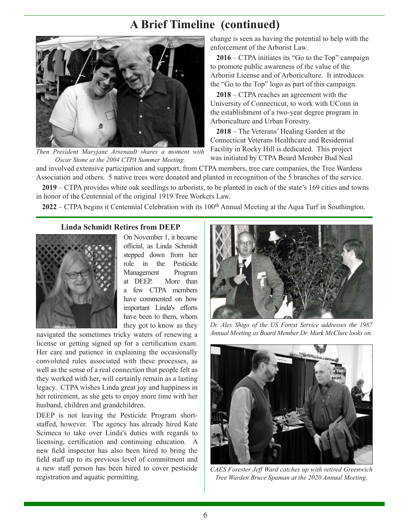## **A Brief Timeline (continued)**



Then President Maryjane Arsenault shares a moment with **Facility in Rocky Hill is dedicated.** This project Chenne Oscar Stone at the 2004 CTPA Summer Meeting was initiated by CTPA Board Member Bud Neal *Oscar Stone at the 2004 CTPA Summer Meeting.*

change is seen as having the potential to help with the enforcement of the Arborist Law.

**2016** – CTPA initiates its "Go to the Top" campaign to promote public awareness of the value of the Arborist License and of Arboriculture. It introduces the "Go to the Top" logo as part of this campaign.

**2018** – CTPA reaches an agreement with the University of Connecticut, to work with UConn in the establishment of a two-year degree program in Arboriculture and Urban Forestry.

**2018** – The Veterans' Healing Garden at the Connecticut Veterans Healthcare and Residential Facility in Rocky Hill is dedicated. This project

and involved extensive participation and support, from CTPA members, tree care companies, the Tree Wardens Association and others. 5 native trees were donated and planted in recognition of the 5 branches of the service. **2019** – CTPA provides white oak seedlings to arborists, to be planted in each of the state's 169 cities and towns

in honor of the Centennial of the original 1919 Tree Workers Law.

**2022** – CTPA begins it Centennial Celebration with its 100<sup>th</sup> Annual Meeting at the Aqua Turf in Southington.

#### **Linda Schmidt Retires from DEEP**



On November 1, it became official, as Linda Schmidt stepped down from her role in the Pesticide Management Program at DEEP. More than a few CTPA members have commented on how important Linda's efforts have been to them, whom they got to know as they

navigated the sometimes tricky waters of renewing a license or getting signed up for a certification exam. Her care and patience in explaining the occasionally convoluted rules associated with these processes, as well as the sense of a real connection that people felt as they worked with her, will certainly remain as a lasting legacy. CTPA wishes Linda great joy and happiness in her retirement, as she gets to enjoy more time with her husband, children and grandchildren.

DEEP is not leaving the Pesticide Program shortstaffed, however. The agency has already hired Kate Scimeca to take over Linda's duties with regards to licensing, certification and continuing education. A new field inspector has also been hired to bring the field staff up to its previous level of commitment and a new staff person has been hired to cover pesticide registration and aquatic permitting.



*Dr. Alex Shigo of the US Forest Service addresses the 1987 Annual Meeting as Board Member Dr. Mark McClure looks on.*



*CAES Forester Jeff Ward catches up with retired Greenwich Tree Warden Bruce Spaman at the 2020 Annual Meeting.*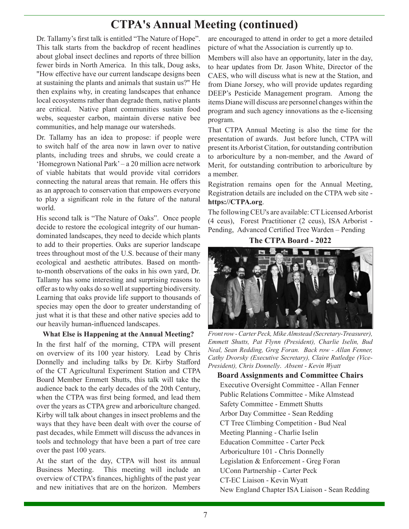# **CTPA's Annual Meeting (continued)**

Dr. Tallamy's first talk is entitled "The Nature of Hope". This talk starts from the backdrop of recent headlines about global insect declines and reports of three billion fewer birds in North America. In this talk, Doug asks, "How effective have our current landscape designs been at sustaining the plants and animals that sustain us?" He then explains why, in creating landscapes that enhance local ecosystems rather than degrade them, native plants are critical. Native plant communities sustain food webs, sequester carbon, maintain diverse native bee communities, and help manage our watersheds.

Dr. Tallamy has an idea to propose: if people were to switch half of the area now in lawn over to native plants, including trees and shrubs, we could create a 'Homegrown National Park' – a 20 million acre network of viable habitats that would provide vital corridors connecting the natural areas that remain. He offers this as an approach to conservation that empowers everyone to play a significant role in the future of the natural world.

His second talk is "The Nature of Oaks". Once people decide to restore the ecological integrity of our humandominated landscapes, they need to decide which plants to add to their properties. Oaks are superior landscape trees throughout most of the U.S. because of their many ecological and aesthetic attributes. Based on monthto-month observations of the oaks in his own yard, Dr. Tallamy has some interesting and surprising reasons to offer as to why oaks do so well at supporting biodiversity. Learning that oaks provide life support to thousands of species may open the door to greater understanding of just what it is that these and other native species add to our heavily human-influenced landscapes.

#### **What Else is Happening at the Annual Meeting?**

In the first half of the morning, CTPA will present on overview of its 100 year history. Lead by Chris Donnelly and including talks by Dr. Kirby Stafford of the CT Agricultural Experiment Station and CTPA Board Member Emmett Shutts, this talk will take the audience back to the early decades of the 20th Century, when the CTPA was first being formed, and lead them over the years as CTPA grew and arboriculture changed. Kirby will talk about changes in insect problems and the ways that they have been dealt with over the course of past decades, while Emmett will discuss the advances in tools and technology that have been a part of tree care over the past 100 years.

At the start of the day, CTPA will host its annual Business Meeting. This meeting will include an overview of CTPA's finances, highlights of the past year and new initiatives that are on the horizon. Members

are encouraged to attend in order to get a more detailed picture of what the Association is currently up to.

Members will also have an opportunity, later in the day, to hear updates from Dr. Jason White, Director of the CAES, who will discuss what is new at the Station, and from Diane Jorsey, who will provide updates regarding DEEP's Pesticide Management program. Among the items Diane will discuss are personnel changes within the program and such agency innovations as the e-licensing program.

That CTPA Annual Meeting is also the time for the presentation of awards. Just before lunch, CTPA will present its Arborist Citation, for outstanding contribution to arboriculture by a non-member, and the Award of Merit, for outstanding contribution to arboriculture by a member.

Registration remains open for the Annual Meeting, Registration details are included on the CTPA web site **https://CTPA.org**.

The following CEU's are available: CT Licensed Arborist (4 ceus), Forest Practitioner (2 ceus), ISA Arborist - Pending, Advanced Certified Tree Warden - Pending

**The CTPA Board - 2022**



*Front row - Carter Peck, Mike Almstead (Secretary-Treasurer), Emmett Shutts, Pat Flynn (President), Charlie Iselin, Bud Neal, Sean Redding, Greg Foran. Back row - Allan Fenner, Cathy Dvorsky (Executive Secretary), Claire Rutledge (Vice-President), Chris Donnelly*. *Absent - Kevin Wyatt*

**Board Assignments and Committee Chairs**

Executive Oversight Committee - Allan Fenner Public Relations Committee - Mike Almstead Safety Committee - Emmett Shutts Arbor Day Committee - Sean Redding CT Tree Climbing Competition - Bud Neal Meeting Planning - Charlie Iselin Education Committee - Carter Peck Arboriculture 101 - Chris Donnelly Legislation & Enforcement - Greg Foran UConn Partnership - Carter Peck CT-EC Liaison - Kevin Wyatt New England Chapter ISA Liaison - Sean Redding